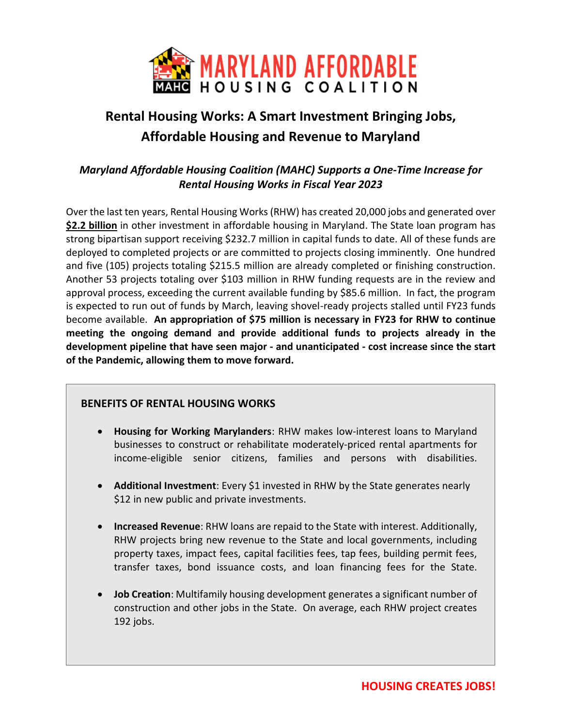

# **Rental Housing Works: A Smart Investment Bringing Jobs, Affordable Housing and Revenue to Maryland**

## *Maryland Affordable Housing Coalition (MAHC) Supports a One-Time Increase for Rental Housing Works in Fiscal Year 2023*

Over the last ten years, Rental Housing Works (RHW) has created 20,000 jobs and generated over **\$2.2 billion** in other investment in affordable housing in Maryland. The State loan program has strong bipartisan support receiving \$232.7 million in capital funds to date. All of these funds are deployed to completed projects or are committed to projects closing imminently. One hundred and five (105) projects totaling \$215.5 million are already completed or finishing construction. Another 53 projects totaling over \$103 million in RHW funding requests are in the review and approval process, exceeding the current available funding by \$85.6 million. In fact, the program is expected to run out of funds by March, leaving shovel-ready projects stalled until FY23 funds become available. **An appropriation of \$75 million is necessary in FY23 for RHW to continue meeting the ongoing demand and provide additional funds to projects already in the development pipeline that have seen major - and unanticipated - cost increase since the start of the Pandemic, allowing them to move forward.** 

## **BENEFITS OF RENTAL HOUSING WORKS**

- **Housing for Working Marylanders**: RHW makes low-interest loans to Maryland businesses to construct or rehabilitate moderately-priced rental apartments for income-eligible senior citizens, families and persons with disabilities.
- **Additional Investment**: Every \$1 invested in RHW by the State generates nearly \$12 in new public and private investments.
- **Increased Revenue**: RHW loans are repaid to the State with interest. Additionally, RHW projects bring new revenue to the State and local governments, including property taxes, impact fees, capital facilities fees, tap fees, building permit fees, transfer taxes, bond issuance costs, and loan financing fees for the State.
- **Job Creation**: Multifamily housing development generates a significant number of construction and other jobs in the State. On average, each RHW project creates 192 jobs.